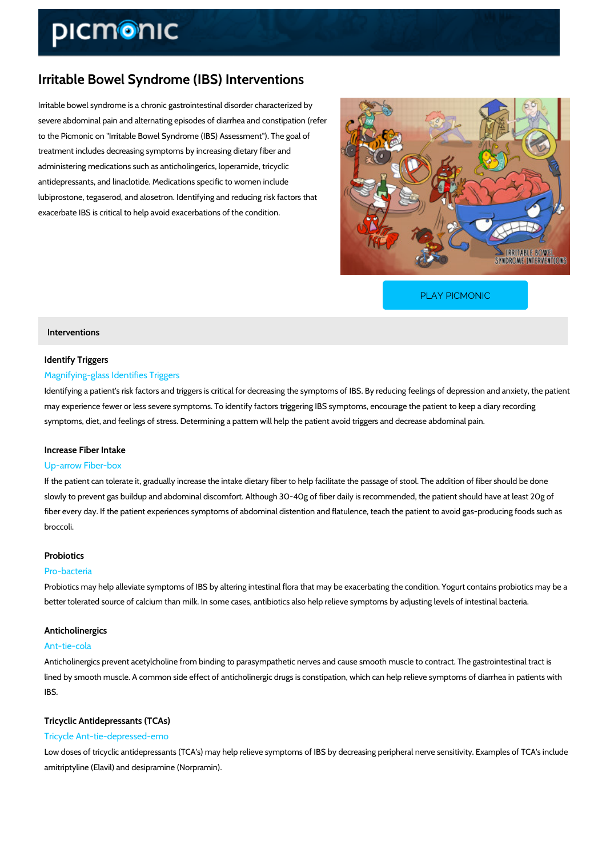# Irritable Bowel Syndrome (IBS) Interventions

Irritable bowel syndrome is a chronic gastrointestinal disorder characterized by severe abdominal pain and alternating episodes of diarrhea and constipation (refer to the Picmonic on "Irritable Bowel Syndrome (IBS) Assessment"). The goal of treatment includes decreasing symptoms by increasing dietary fiber and administering medications such as anticholingerics, loperamide, tricyclic antidepressants, and linaclotide. Medications specific to women include lubiprostone, tegaserod, and alosetron. Identifying and reducing risk factors that exacerbate IBS is critical to help avoid exacerbations of the condition.

[PLAY PICMONIC](https://www.picmonic.com/learn/irritable-bowel-syndrome-ibs-interventions_2135?utm_source=downloadable_content&utm_medium=distributedcontent&utm_campaign=pathways_pdf&utm_content=Irritable Bowel Syndrome (IBS) Interventions&utm_ad_group=leads&utm_market=all)

# Interventions

### Identify Triggers

## Magnifying-glass Identifies Triggers

Identifying a patient's risk factors and triggers is critical for decreasing the symptoms of IBS may experience fewer or less severe symptoms. To identify factors triggering IBS symptoms,  $\epsilon$ symptoms, diet, and feelings of stress. Determining a pattern will help the patient avoid trigg

### Increase Fiber Intake

## Up-arrow Fiber-box

If the patient can tolerate it, gradually increase the intake dietary fiber to help facilitate the slowly to prevent gas buildup and abdominal discomfort. Although 30-40g of fiber daily is recomment should have at least 20g of the at least 20g of the at least 20g of the at least 20g of the at least 20g of the at least 2 fiber every day. If the patient experiences symptoms of abdominal distention and flatulence, t broccoli.

### Probiotics

#### Pro-bacteria

Probiotics may help alleviate symptoms of IBS by altering intestinal flora that may be exacerb better tolerated source of calcium than milk. In some cases, antibiotics also help relieve sym

### Anticholinergics

### Ant-tie-cola

Anticholinergics prevent acetylcholine from binding to parasympathetic nerves and cause smo lined by smooth muscle. A common side effect of anticholinergic drugs is constipation, which IBS.

# Tricyclic Antidepressants (TCAs)

#### Tricycle Ant-tie-depressed-emo

Low doses of tricyclic antidepressants (TCA's) may help relieve symptoms of IBS by decreasir amitriptyline (Elavil) and desipramine (Norpramin).